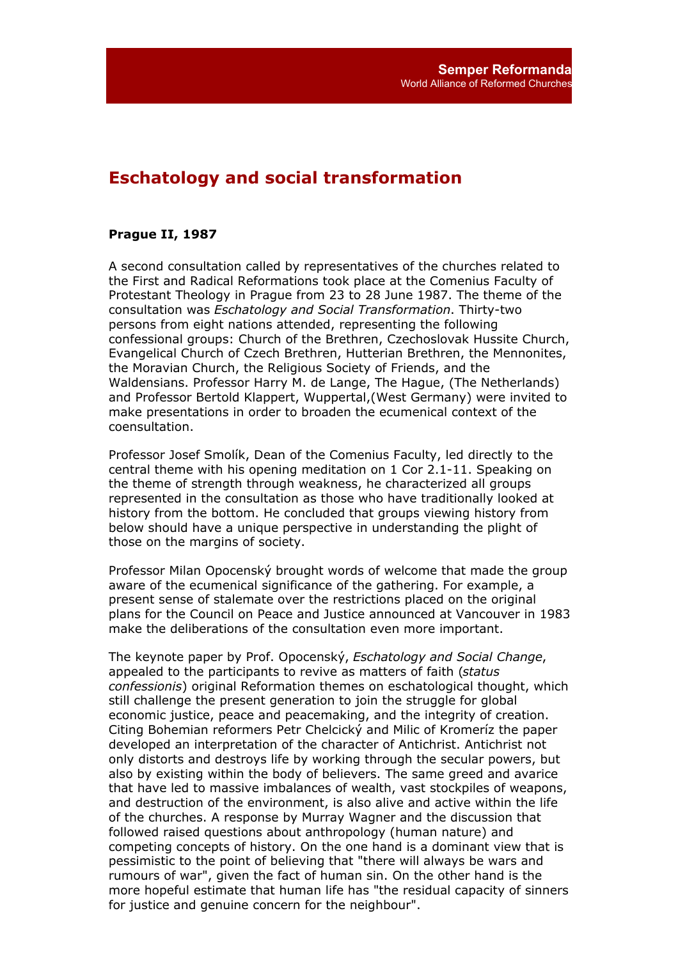## **Eschatology and social transformation**

## **Prague II, 1987**

A second consultation called by representatives of the churches related to the First and Radical Reformations took place at the Comenius Faculty of Protestant Theology in Prague from 23 to 28 June 1987. The theme of the consultation was *Eschatology and Social Transformation*. Thirty-two persons from eight nations attended, representing the following confessional groups: Church of the Brethren, Czechoslovak Hussite Church, Evangelical Church of Czech Brethren, Hutterian Brethren, the Mennonites, the Moravian Church, the Religious Society of Friends, and the Waldensians. Professor Harry M. de Lange, The Hague, (The Netherlands) and Professor Bertold Klappert, Wuppertal,(West Germany) were invited to make presentations in order to broaden the ecumenical context of the coensultation.

Professor Josef Smolík, Dean of the Comenius Faculty, led directly to the central theme with his opening meditation on 1 Cor 2.1-11. Speaking on the theme of strength through weakness, he characterized all groups represented in the consultation as those who have traditionally looked at history from the bottom. He concluded that groups viewing history from below should have a unique perspective in understanding the plight of those on the margins of society.

Professor Milan Opocenský brought words of welcome that made the group aware of the ecumenical significance of the gathering. For example, a present sense of stalemate over the restrictions placed on the original plans for the Council on Peace and Justice announced at Vancouver in 1983 make the deliberations of the consultation even more important.

The keynote paper by Prof. Opocenský, *Eschatology and Social Change*, appealed to the participants to revive as matters of faith (*status confessionis*) original Reformation themes on eschatological thought, which still challenge the present generation to join the struggle for global economic justice, peace and peacemaking, and the integrity of creation. Citing Bohemian reformers Petr Chelcický and Milic of Kromeríz the paper developed an interpretation of the character of Antichrist. Antichrist not only distorts and destroys life by working through the secular powers, but also by existing within the body of believers. The same greed and avarice that have led to massive imbalances of wealth, vast stockpiles of weapons, and destruction of the environment, is also alive and active within the life of the churches. A response by Murray Wagner and the discussion that followed raised questions about anthropology (human nature) and competing concepts of history. On the one hand is a dominant view that is pessimistic to the point of believing that "there will always be wars and rumours of war", given the fact of human sin. On the other hand is the more hopeful estimate that human life has "the residual capacity of sinners for justice and genuine concern for the neighbour".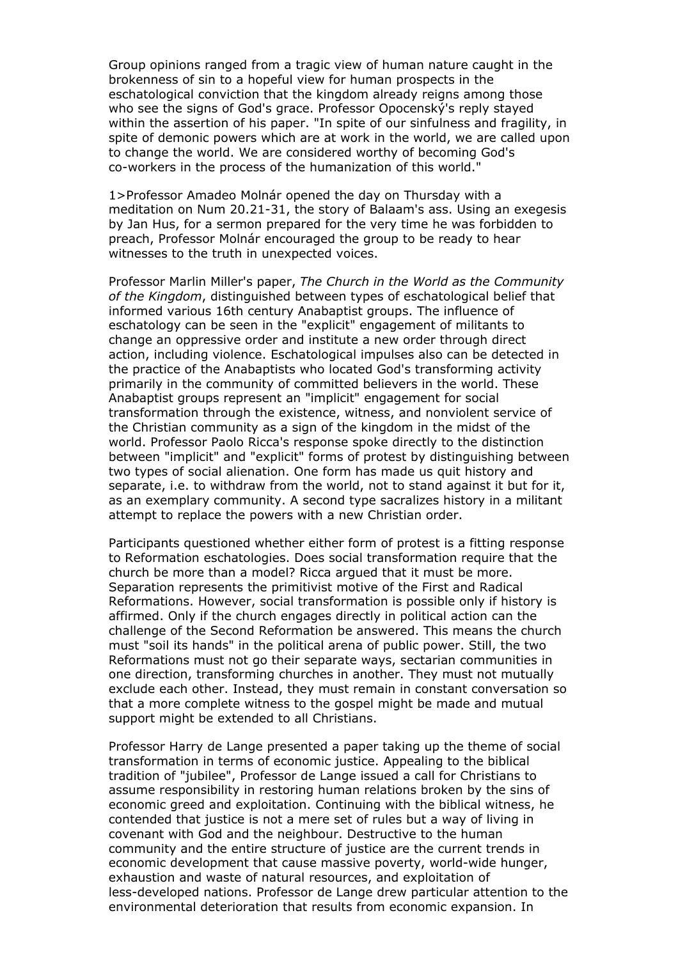Group opinions ranged from a tragic view of human nature caught in the brokenness of sin to a hopeful view for human prospects in the eschatological conviction that the kingdom already reigns among those who see the signs of God's grace. Professor Opocenský's reply stayed within the assertion of his paper. "In spite of our sinfulness and fragility, in spite of demonic powers which are at work in the world, we are called upon to change the world. We are considered worthy of becoming God's co-workers in the process of the humanization of this world."

1>Professor Amadeo Molnár opened the day on Thursday with a meditation on Num 20.21-31, the story of Balaam's ass. Using an exegesis by Jan Hus, for a sermon prepared for the very time he was forbidden to preach, Professor Molnár encouraged the group to be ready to hear witnesses to the truth in unexpected voices.

Professor Marlin Miller's paper, *The Church in the World as the Community of the Kingdom*, distinguished between types of eschatological belief that informed various 16th century Anabaptist groups. The influence of eschatology can be seen in the "explicit" engagement of militants to change an oppressive order and institute a new order through direct action, including violence. Eschatological impulses also can be detected in the practice of the Anabaptists who located God's transforming activity primarily in the community of committed believers in the world. These Anabaptist groups represent an "implicit" engagement for social transformation through the existence, witness, and nonviolent service of the Christian community as a sign of the kingdom in the midst of the world. Professor Paolo Ricca's response spoke directly to the distinction between "implicit" and "explicit" forms of protest by distinguishing between two types of social alienation. One form has made us quit history and separate, i.e. to withdraw from the world, not to stand against it but for it, as an exemplary community. A second type sacralizes history in a militant attempt to replace the powers with a new Christian order.

Participants questioned whether either form of protest is a fitting response to Reformation eschatologies. Does social transformation require that the church be more than a model? Ricca argued that it must be more. Separation represents the primitivist motive of the First and Radical Reformations. However, social transformation is possible only if history is affirmed. Only if the church engages directly in political action can the challenge of the Second Reformation be answered. This means the church must "soil its hands" in the political arena of public power. Still, the two Reformations must not go their separate ways, sectarian communities in one direction, transforming churches in another. They must not mutually exclude each other. Instead, they must remain in constant conversation so that a more complete witness to the gospel might be made and mutual support might be extended to all Christians.

Professor Harry de Lange presented a paper taking up the theme of social transformation in terms of economic justice. Appealing to the biblical tradition of "jubilee", Professor de Lange issued a call for Christians to assume responsibility in restoring human relations broken by the sins of economic greed and exploitation. Continuing with the biblical witness, he contended that justice is not a mere set of rules but a way of living in covenant with God and the neighbour. Destructive to the human community and the entire structure of justice are the current trends in economic development that cause massive poverty, world-wide hunger, exhaustion and waste of natural resources, and exploitation of less-developed nations. Professor de Lange drew particular attention to the environmental deterioration that results from economic expansion. In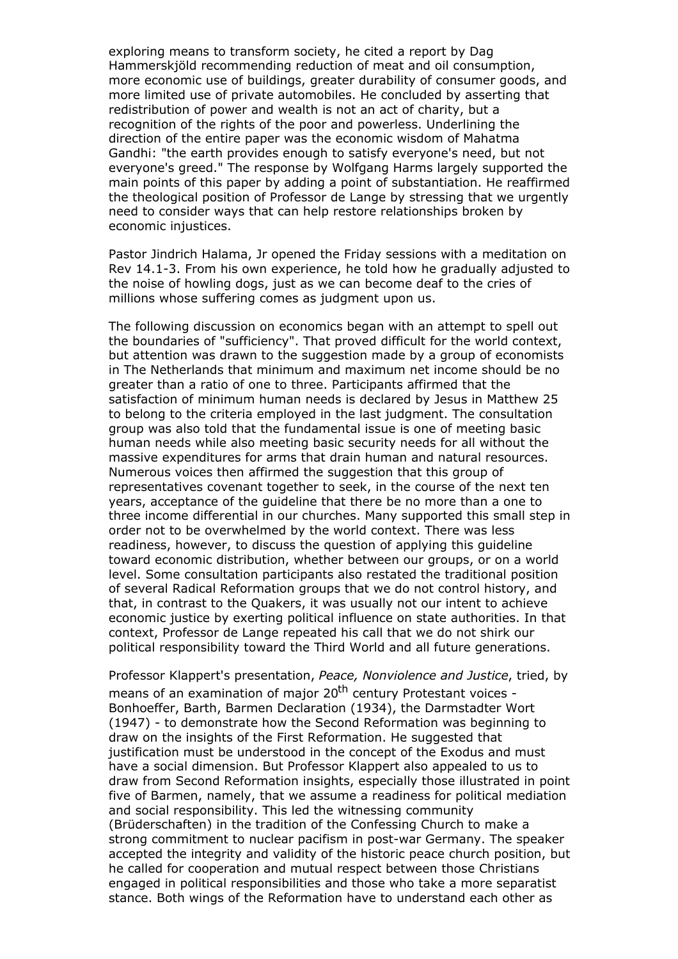exploring means to transform society, he cited a report by Dag Hammerskjöld recommending reduction of meat and oil consumption, more economic use of buildings, greater durability of consumer goods, and more limited use of private automobiles. He concluded by asserting that redistribution of power and wealth is not an act of charity, but a recognition of the rights of the poor and powerless. Underlining the direction of the entire paper was the economic wisdom of Mahatma Gandhi: "the earth provides enough to satisfy everyone's need, but not everyone's greed." The response by Wolfgang Harms largely supported the main points of this paper by adding a point of substantiation. He reaffirmed the theological position of Professor de Lange by stressing that we urgently need to consider ways that can help restore relationships broken by economic injustices.

Pastor Jindrich Halama, Jr opened the Friday sessions with a meditation on Rev 14.1-3. From his own experience, he told how he gradually adjusted to the noise of howling dogs, just as we can become deaf to the cries of millions whose suffering comes as judgment upon us.

The following discussion on economics began with an attempt to spell out the boundaries of "sufficiency". That proved difficult for the world context, but attention was drawn to the suggestion made by a group of economists in The Netherlands that minimum and maximum net income should be no greater than a ratio of one to three. Participants affirmed that the satisfaction of minimum human needs is declared by Jesus in Matthew 25 to belong to the criteria employed in the last judgment. The consultation group was also told that the fundamental issue is one of meeting basic human needs while also meeting basic security needs for all without the massive expenditures for arms that drain human and natural resources. Numerous voices then affirmed the suggestion that this group of representatives covenant together to seek, in the course of the next ten years, acceptance of the guideline that there be no more than a one to three income differential in our churches. Many supported this small step in order not to be overwhelmed by the world context. There was less readiness, however, to discuss the question of applying this guideline toward economic distribution, whether between our groups, or on a world level. Some consultation participants also restated the traditional position of several Radical Reformation groups that we do not control history, and that, in contrast to the Quakers, it was usually not our intent to achieve economic justice by exerting political influence on state authorities. In that context, Professor de Lange repeated his call that we do not shirk our political responsibility toward the Third World and all future generations.

Professor Klappert's presentation, *Peace, Nonviolence and Justice*, tried, by means of an examination of major 20<sup>th</sup> century Protestant voices -Bonhoeffer, Barth, Barmen Declaration (1934), the Darmstadter Wort (1947) - to demonstrate how the Second Reformation was beginning to draw on the insights of the First Reformation. He suggested that justification must be understood in the concept of the Exodus and must have a social dimension. But Professor Klappert also appealed to us to draw from Second Reformation insights, especially those illustrated in point five of Barmen, namely, that we assume a readiness for political mediation and social responsibility. This led the witnessing community (Brüderschaften) in the tradition of the Confessing Church to make a strong commitment to nuclear pacifism in post-war Germany. The speaker accepted the integrity and validity of the historic peace church position, but he called for cooperation and mutual respect between those Christians engaged in political responsibilities and those who take a more separatist stance. Both wings of the Reformation have to understand each other as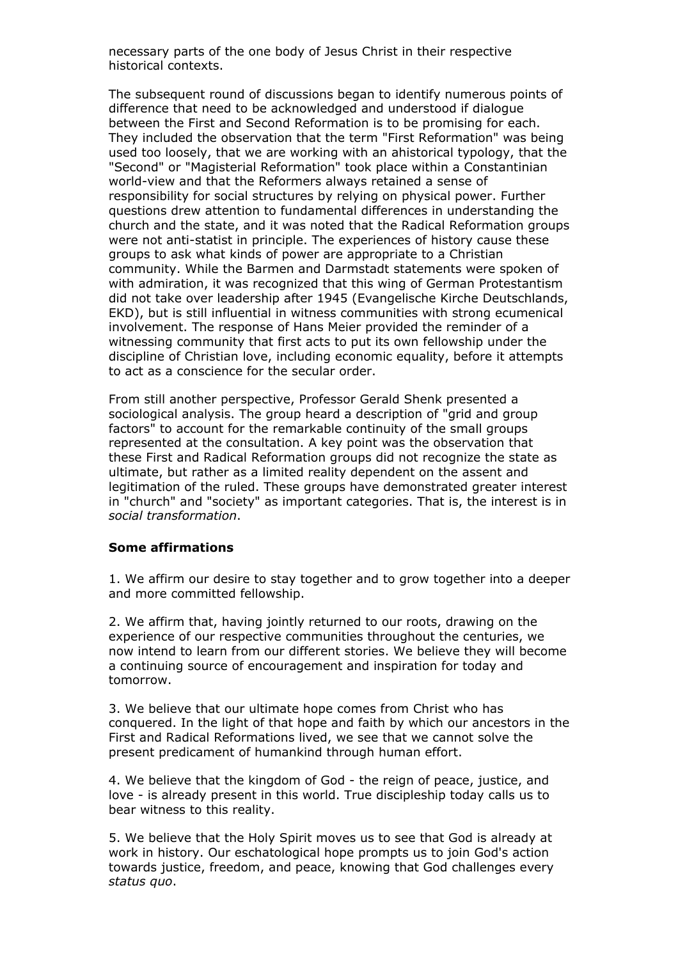necessary parts of the one body of Jesus Christ in their respective historical contexts.

The subsequent round of discussions began to identify numerous points of difference that need to be acknowledged and understood if dialogue between the First and Second Reformation is to be promising for each. They included the observation that the term "First Reformation" was being used too loosely, that we are working with an ahistorical typology, that the "Second" or "Magisterial Reformation" took place within a Constantinian world-view and that the Reformers always retained a sense of responsibility for social structures by relying on physical power. Further questions drew attention to fundamental differences in understanding the church and the state, and it was noted that the Radical Reformation groups were not anti-statist in principle. The experiences of history cause these groups to ask what kinds of power are appropriate to a Christian community. While the Barmen and Darmstadt statements were spoken of with admiration, it was recognized that this wing of German Protestantism did not take over leadership after 1945 (Evangelische Kirche Deutschlands, EKD), but is still influential in witness communities with strong ecumenical involvement. The response of Hans Meier provided the reminder of a witnessing community that first acts to put its own fellowship under the discipline of Christian love, including economic equality, before it attempts to act as a conscience for the secular order.

From still another perspective, Professor Gerald Shenk presented a sociological analysis. The group heard a description of "grid and group factors" to account for the remarkable continuity of the small groups represented at the consultation. A key point was the observation that these First and Radical Reformation groups did not recognize the state as ultimate, but rather as a limited reality dependent on the assent and legitimation of the ruled. These groups have demonstrated greater interest in "church" and "society" as important categories. That is, the interest is in *social transformation*.

## **Some affirmations**

1. We affirm our desire to stay together and to grow together into a deeper and more committed fellowship.

2. We affirm that, having jointly returned to our roots, drawing on the experience of our respective communities throughout the centuries, we now intend to learn from our different stories. We believe they will become a continuing source of encouragement and inspiration for today and tomorrow.

3. We believe that our ultimate hope comes from Christ who has conquered. In the light of that hope and faith by which our ancestors in the First and Radical Reformations lived, we see that we cannot solve the present predicament of humankind through human effort.

4. We believe that the kingdom of God - the reign of peace, justice, and love - is already present in this world. True discipleship today calls us to bear witness to this reality.

5. We believe that the Holy Spirit moves us to see that God is already at work in history. Our eschatological hope prompts us to join God's action towards justice, freedom, and peace, knowing that God challenges every *status quo*.